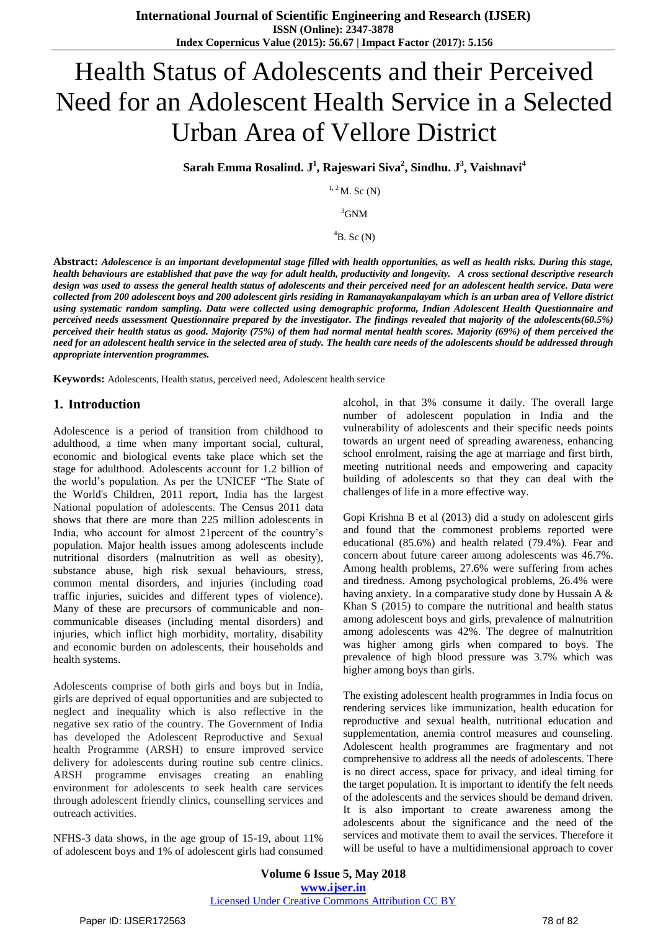# Health Status of Adolescents and their Perceived Need for an Adolescent Health Service in a Selected Urban Area of Vellore District

**Sarah Emma Rosalind. J 1 , Rajeswari Siva<sup>2</sup> , Sindhu. J 3 , Vaishnavi<sup>4</sup>**

 $1, 2$  M. Sc (N)

<sup>3</sup>GNM

 ${}^4B.$  Sc (N)

**Abstract:** *Adolescence is an important developmental stage filled with health opportunities, as well as health risks. During this stage, health behaviours are established that pave the way for adult health, productivity and longevity. A cross sectional descriptive research design was used to assess the general health status of adolescents and their perceived need for an adolescent health service. Data were collected from 200 adolescent boys and 200 adolescent girls residing in Ramanayakanpalayam which is an urban area of Vellore district using systematic random sampling. Data were collected using demographic proforma, Indian Adolescent Health Questionnaire and perceived needs assessment Questionnaire prepared by the investigator. The findings revealed that majority of the adolescents(60.5%) perceived their health status as good. Majority (75%) of them had normal mental health scores. Majority (69%) of them perceived the need for an adolescent health service in the selected area of study. The health care needs of the adolescents should be addressed through appropriate intervention programmes.*

**Keywords:** Adolescents, Health status, perceived need, Adolescent health service

#### **1. Introduction**

Adolescence is a period of transition from childhood to adulthood, a time when many important social, cultural, economic and biological events take place which set the stage for adulthood. Adolescents account for 1.2 billion of the world's population. As per the UNICEF "The State of the World's Children, 2011 report, India has the largest National population of adolescents. The Census 2011 data shows that there are more than 225 million adolescents in India, who account for almost 21percent of the country's population. Major health issues among adolescents include nutritional disorders (malnutrition as well as obesity), substance abuse, high risk sexual behaviours, stress, common mental disorders, and injuries (including road traffic injuries, suicides and different types of violence). Many of these are precursors of communicable and noncommunicable diseases (including mental disorders) and injuries, which inflict high morbidity, mortality, disability and economic burden on adolescents, their households and health systems.

Adolescents comprise of both girls and boys but in India, girls are deprived of equal opportunities and are subjected to neglect and inequality which is also reflective in the negative sex ratio of the country. The Government of India has developed the Adolescent Reproductive and Sexual health Programme (ARSH) to ensure improved service delivery for adolescents during routine sub centre clinics. ARSH programme envisages creating an enabling environment for adolescents to seek health care services through adolescent friendly clinics, counselling services and outreach activities.

NFHS-3 data shows, in the age group of 15-19, about 11% of adolescent boys and 1% of adolescent girls had consumed alcohol, in that 3% consume it daily. The overall large number of adolescent population in India and the vulnerability of adolescents and their specific needs points towards an urgent need of spreading awareness, enhancing school enrolment, raising the age at marriage and first birth, meeting nutritional needs and empowering and capacity building of adolescents so that they can deal with the challenges of life in a more effective way.

Gopi Krishna B et al (2013) did a study on adolescent girls and found that the commonest problems reported were educational (85.6%) and health related (79.4%). Fear and concern about future career among adolescents was 46.7%. Among health problems, 27.6% were suffering from aches and tiredness. Among psychological problems, 26.4% were having anxiety. In a comparative study done by Hussain A & Khan S (2015) to compare the nutritional and health status among adolescent boys and girls, prevalence of malnutrition among adolescents was 42%. The degree of malnutrition was higher among girls when compared to boys. The prevalence of high blood pressure was 3.7% which was higher among boys than girls.

The existing adolescent health programmes in India focus on rendering services like immunization, health education for reproductive and sexual health, nutritional education and supplementation, anemia control measures and counseling. Adolescent health programmes are fragmentary and not comprehensive to address all the needs of adolescents. There is no direct access, space for privacy, and ideal timing for the target population. It is important to identify the felt needs of the adolescents and the services should be demand driven. It is also important to create awareness among the adolescents about the significance and the need of the services and motivate them to avail the services. Therefore it will be useful to have a multidimensional approach to cover

**Volume 6 Issue 5, May 2018 <www.ijser.in>** [Licensed Under Creative Commons Attribution CC BY](http://creativecommons.org/licenses/by/4.0/)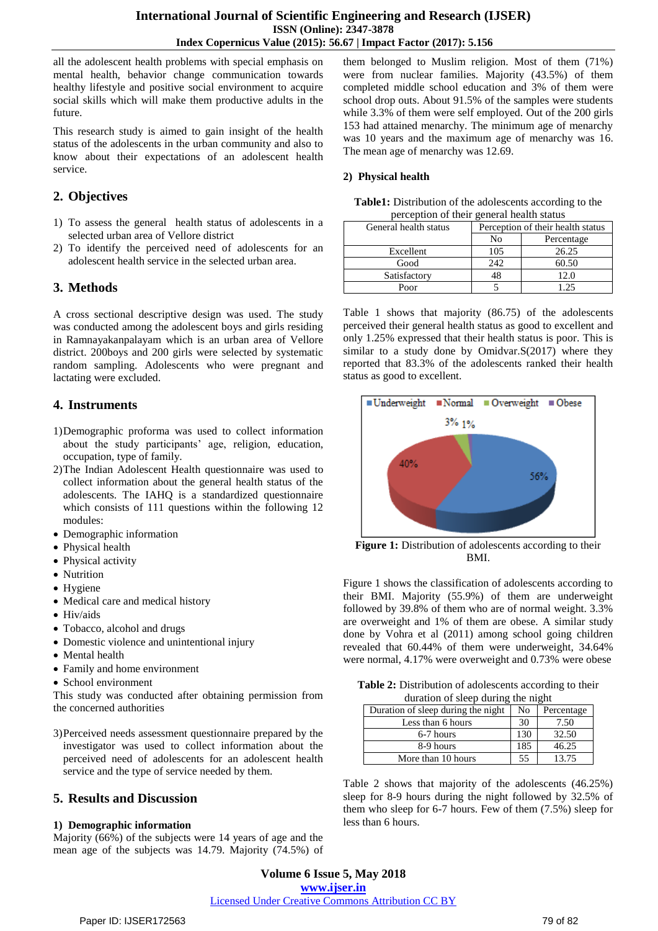all the adolescent health problems with special emphasis on mental health, behavior change communication towards healthy lifestyle and positive social environment to acquire social skills which will make them productive adults in the future.

This research study is aimed to gain insight of the health status of the adolescents in the urban community and also to know about their expectations of an adolescent health service.

## **2. Objectives**

- 1) To assess the general health status of adolescents in a selected urban area of Vellore district
- 2) To identify the perceived need of adolescents for an adolescent health service in the selected urban area.

# **3. Methods**

A cross sectional descriptive design was used. The study was conducted among the adolescent boys and girls residing in Ramnayakanpalayam which is an urban area of Vellore district. 200boys and 200 girls were selected by systematic random sampling. Adolescents who were pregnant and lactating were excluded.

# **4. Instruments**

- 1)Demographic proforma was used to collect information about the study participants' age, religion, education, occupation, type of family.
- 2)The Indian Adolescent Health questionnaire was used to collect information about the general health status of the adolescents. The IAHQ is a standardized questionnaire which consists of 111 questions within the following 12 modules:
- Demographic information
- Physical health
- Physical activity
- Nutrition
- Hygiene
- Medical care and medical history
- Hiv/aids
- Tobacco, alcohol and drugs
- Domestic violence and unintentional injury
- Mental health
- Family and home environment
- School environment

This study was conducted after obtaining permission from the concerned authorities

3)Perceived needs assessment questionnaire prepared by the investigator was used to collect information about the perceived need of adolescents for an adolescent health service and the type of service needed by them.

# **5. Results and Discussion**

## **1) Demographic information**

Majority (66%) of the subjects were 14 years of age and the mean age of the subjects was 14.79. Majority (74.5%) of them belonged to Muslim religion. Most of them (71%) were from nuclear families. Majority (43.5%) of them completed middle school education and 3% of them were school drop outs. About 91.5% of the samples were students while 3.3% of them were self employed. Out of the 200 girls 153 had attained menarchy. The minimum age of menarchy was 10 years and the maximum age of menarchy was 16. The mean age of menarchy was 12.69.

## **2) Physical health**

| <b>Table1:</b> Distribution of the adolescents according to the |
|-----------------------------------------------------------------|
| perception of their general health status                       |

| General health status |     | Perception of their health status |  |  |
|-----------------------|-----|-----------------------------------|--|--|
|                       | No  | Percentage                        |  |  |
| Excellent             | 105 | 26.25                             |  |  |
| Good                  | 242 | 60.50                             |  |  |
| Satisfactory          |     | 12.0                              |  |  |
| Poor                  |     | 195                               |  |  |

Table 1 shows that majority (86.75) of the adolescents perceived their general health status as good to excellent and only 1.25% expressed that their health status is poor. This is similar to a study done by Omidvar.S(2017) where they reported that 83.3% of the adolescents ranked their health status as good to excellent.



**Figure 1:** Distribution of adolescents according to their BMI.

Figure 1 shows the classification of adolescents according to their BMI. Majority (55.9%) of them are underweight followed by 39.8% of them who are of normal weight. 3.3% are overweight and 1% of them are obese. A similar study done by Vohra et al (2011) among school going children revealed that 60.44% of them were underweight, 34.64% were normal, 4.17% were overweight and 0.73% were obese

| Table 2: Distribution of adolescents according to their |
|---------------------------------------------------------|
| duration of sleep during the night                      |

| Duration of sleep during the night |     | Percentage |  |
|------------------------------------|-----|------------|--|
| Less than 6 hours                  | 30  | 7.50       |  |
| 6-7 hours                          | 130 | 32.50      |  |
| 8-9 hours                          | 185 | 46.25      |  |
| More than 10 hours                 | 55  | 13.75      |  |

Table 2 shows that majority of the adolescents (46.25%) sleep for 8-9 hours during the night followed by 32.5% of them who sleep for 6-7 hours. Few of them (7.5%) sleep for less than 6 hours.

## **Volume 6 Issue 5, May 2018 <www.ijser.in>** [Licensed Under Creative Commons Attribution CC BY](http://creativecommons.org/licenses/by/4.0/)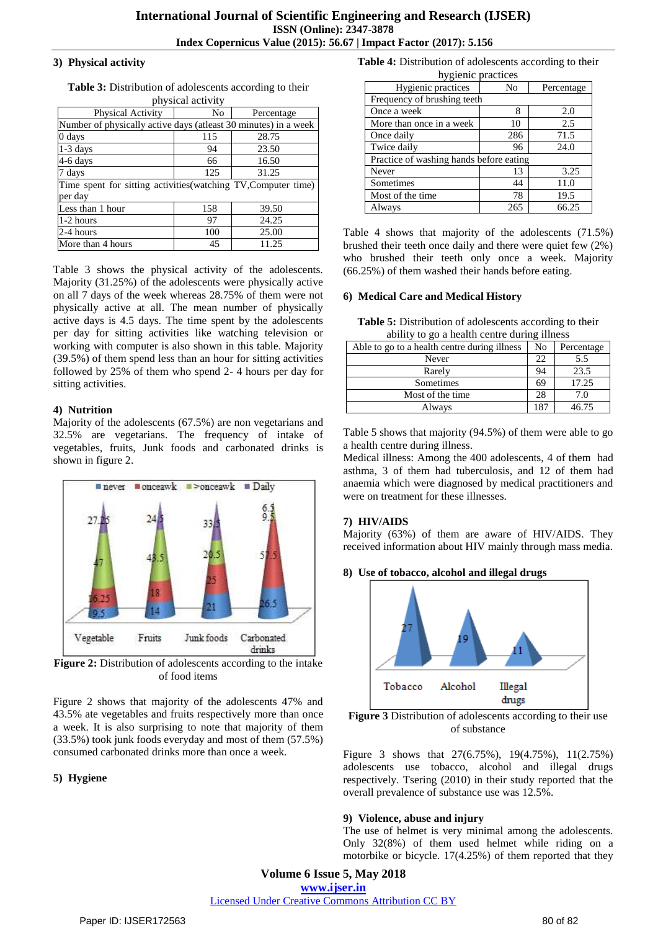#### **3) Physical activity**

| physical activity                                               |     |            |  |  |  |  |
|-----------------------------------------------------------------|-----|------------|--|--|--|--|
| Physical Activity                                               | No  | Percentage |  |  |  |  |
| Number of physically active days (atleast 30 minutes) in a week |     |            |  |  |  |  |
| 0 days                                                          | 115 | 28.75      |  |  |  |  |
| $1-3$ days                                                      | 94  | 23.50      |  |  |  |  |
| 4-6 days                                                        | 66  | 16.50      |  |  |  |  |
| 7 days                                                          | 125 | 31.25      |  |  |  |  |
| Time spent for sitting activities (watching TV, Computer time)  |     |            |  |  |  |  |
| per day                                                         |     |            |  |  |  |  |
| Less than 1 hour                                                | 158 | 39.50      |  |  |  |  |
| 1-2 hours                                                       | 97  | 24.25      |  |  |  |  |
| 2-4 hours                                                       | 100 | 25.00      |  |  |  |  |
| More than 4 hours                                               | 45  | 11.25      |  |  |  |  |

**Table 3:** Distribution of adolescents according to their

Table 3 shows the physical activity of the adolescents. Majority (31.25%) of the adolescents were physically active on all 7 days of the week whereas 28.75% of them were not physically active at all. The mean number of physically active days is 4.5 days. The time spent by the adolescents per day for sitting activities like watching television or working with computer is also shown in this table. Majority (39.5%) of them spend less than an hour for sitting activities followed by 25% of them who spend 2- 4 hours per day for sitting activities.

## **4) Nutrition**

Majority of the adolescents (67.5%) are non vegetarians and 32.5% are vegetarians. The frequency of intake of vegetables, fruits, Junk foods and carbonated drinks is shown in figure 2.



**Figure 2:** Distribution of adolescents according to the intake of food items

Figure 2 shows that majority of the adolescents 47% and 43.5% ate vegetables and fruits respectively more than once a week. It is also surprising to note that majority of them (33.5%) took junk foods everyday and most of them (57.5%) consumed carbonated drinks more than once a week.

## **5) Hygiene**

**Table 4:** Distribution of adolescents according to their

| hygienic practices                      |     |            |  |
|-----------------------------------------|-----|------------|--|
| Hygienic practices                      | No  | Percentage |  |
| Frequency of brushing teeth             |     |            |  |
| Once a week                             | 8   | 2.0        |  |
| More than once in a week                | 10  | 2.5        |  |
| Once daily                              | 286 | 71.5       |  |
| Twice daily                             | 96  | 24.0       |  |
| Practice of washing hands before eating |     |            |  |
| Never                                   | 13  | 3.25       |  |
| Sometimes                               | 44  | 11.0       |  |
| Most of the time                        | 78  | 19.5       |  |
| Always                                  | 265 | 66.25      |  |

Table 4 shows that majority of the adolescents (71.5%) brushed their teeth once daily and there were quiet few (2%) who brushed their teeth only once a week. Majority (66.25%) of them washed their hands before eating.

## **6) Medical Care and Medical History**

**Table 5:** Distribution of adolescents according to their ability to go a health centre during illness

| Able to go to a health centre during illness | N <sub>0</sub> | Percentage |
|----------------------------------------------|----------------|------------|
| Never                                        | 22             | 5.5        |
| Rarely                                       | 94             | 23.5       |
| Sometimes                                    | 69             | 17.25      |
| Most of the time.                            | 28             | 7.0        |
| Always                                       | 187            | 46.75      |

Table 5 shows that majority (94.5%) of them were able to go a health centre during illness.

Medical illness: Among the 400 adolescents, 4 of them had asthma, 3 of them had tuberculosis, and 12 of them had anaemia which were diagnosed by medical practitioners and were on treatment for these illnesses.

## **7) HIV/AIDS**

Majority (63%) of them are aware of HIV/AIDS. They received information about HIV mainly through mass media.

## **8) Use of tobacco, alcohol and illegal drugs**



**Figure 3** Distribution of adolescents according to their use of substance

Figure 3 shows that 27(6.75%), 19(4.75%), 11(2.75%) adolescents use tobacco, alcohol and illegal drugs respectively. Tsering (2010) in their study reported that the overall prevalence of substance use was 12.5%.

## **9) Violence, abuse and injury**

The use of helmet is very minimal among the adolescents. Only 32(8%) of them used helmet while riding on a motorbike or bicycle. 17(4.25%) of them reported that they

**Volume 6 Issue 5, May 2018 <www.ijser.in>** [Licensed Under Creative Commons Attribution CC BY](http://creativecommons.org/licenses/by/4.0/)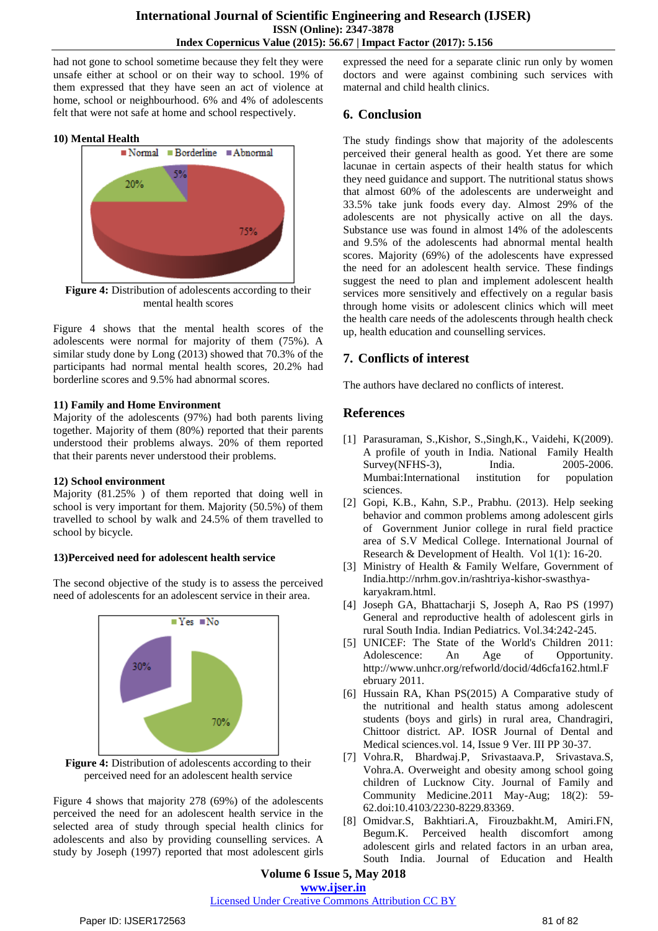had not gone to school sometime because they felt they were unsafe either at school or on their way to school. 19% of them expressed that they have seen an act of violence at home, school or neighbourhood. 6% and 4% of adolescents felt that were not safe at home and school respectively.

#### **10) Mental Health**



**Figure 4:** Distribution of adolescents according to their mental health scores

Figure 4 shows that the mental health scores of the adolescents were normal for majority of them (75%). A similar study done by Long (2013) showed that 70.3% of the participants had normal mental health scores, 20.2% had borderline scores and 9.5% had abnormal scores.

#### **11) Family and Home Environment**

Majority of the adolescents (97%) had both parents living together. Majority of them (80%) reported that their parents understood their problems always. 20% of them reported that their parents never understood their problems.

#### **12) School environment**

Majority (81.25% ) of them reported that doing well in school is very important for them. Majority (50.5%) of them travelled to school by walk and 24.5% of them travelled to school by bicycle.

## **13)Perceived need for adolescent health service**

The second objective of the study is to assess the perceived need of adolescents for an adolescent service in their area.





Figure 4 shows that majority 278 (69%) of the adolescents perceived the need for an adolescent health service in the selected area of study through special health clinics for adolescents and also by providing counselling services. A study by Joseph (1997) reported that most adolescent girls expressed the need for a separate clinic run only by women doctors and were against combining such services with maternal and child health clinics.

## **6. Conclusion**

The study findings show that majority of the adolescents perceived their general health as good. Yet there are some lacunae in certain aspects of their health status for which they need guidance and support. The nutritional status shows that almost 60% of the adolescents are underweight and 33.5% take junk foods every day. Almost 29% of the adolescents are not physically active on all the days. Substance use was found in almost 14% of the adolescents and 9.5% of the adolescents had abnormal mental health scores. Majority (69%) of the adolescents have expressed the need for an adolescent health service. These findings suggest the need to plan and implement adolescent health services more sensitively and effectively on a regular basis through home visits or adolescent clinics which will meet the health care needs of the adolescents through health check up, health education and counselling services.

## **7. Conflicts of interest**

The authors have declared no conflicts of interest.

## **References**

- [1] Parasuraman, S.,Kishor, S.,Singh,K., Vaidehi, K(2009). A profile of youth in India. National Family Health Survey(NFHS-3), India. 2005-2006. Mumbai:International institution for population sciences.
- [2] Gopi, K.B., Kahn, S.P., Prabhu. (2013). Help seeking behavior and common problems among adolescent girls of Government Junior college in rural field practice area of S.V Medical College. International Journal of Research & Development of Health. Vol 1(1): 16-20.
- [3] Ministry of Health & Family Welfare, Government of India.http://nrhm.gov.in/rashtriya-kishor-swasthyakaryakram.html.
- [4] Joseph GA, Bhattacharji S, Joseph A, Rao PS (1997) General and reproductive health of adolescent girls in rural South India. Indian Pediatrics. Vol.34:242-245.
- [5] UNICEF: The State of the World's Children 2011: Adolescence: An Age of Opportunity. [http://www.unhcr.org/refworld/docid/4d6cfa162.html.F](http://www.unhcr.org/refworld/docid/4d6cfa162.html.February) [ebruary](http://www.unhcr.org/refworld/docid/4d6cfa162.html.February) 2011.
- [6] Hussain RA, Khan PS(2015) A Comparative study of the nutritional and health status among adolescent students (boys and girls) in rural area, Chandragiri, Chittoor district. AP. IOSR Journal of Dental and Medical sciences.vol. 14, Issue 9 Ver. III PP 30-37.
- [7] Vohra.R, Bhardwaj.P, Srivastaava.P, Srivastava.S, Vohra.A. Overweight and obesity among school going children of Lucknow City. Journal of Family and Community Medicine.2011 May-Aug; 18(2): 59- 62.doi:10.4103/2230-8229.83369.
- [8] Omidvar.S, Bakhtiari.A, Firouzbakht.M, Amiri.FN, Begum.K. Perceived health discomfort among adolescent girls and related factors in an urban area, South India. Journal of Education and Health

**Volume 6 Issue 5, May 2018 <www.ijser.in>**

#### [Licensed Under Creative Commons Attribution CC BY](http://creativecommons.org/licenses/by/4.0/)